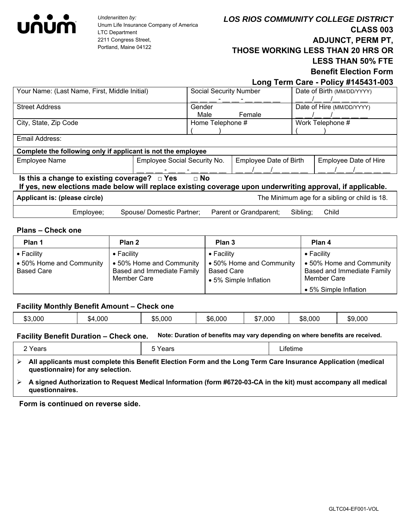

*Underwritten by:*  Unum Life Insurance Company of America LTC Department 2211 Congress Street, Portland, Maine 04122

 **Long Term Care - Policy #145431-003**

**Benefit Election Form**

|                                                                                                                                                                              |                           |                                     |                        |                        | .                                             |  |
|------------------------------------------------------------------------------------------------------------------------------------------------------------------------------|---------------------------|-------------------------------------|------------------------|------------------------|-----------------------------------------------|--|
| Your Name: (Last Name, First, Middle Initial)                                                                                                                                |                           | <b>Social Security Number</b>       |                        |                        | Date of Birth (MM/DD/YYYY)                    |  |
|                                                                                                                                                                              |                           |                                     |                        |                        |                                               |  |
| <b>Street Address</b>                                                                                                                                                        |                           | Gender                              |                        |                        | Date of Hire (MM/DD/YYYY)                     |  |
|                                                                                                                                                                              |                           | Male                                | Female                 |                        |                                               |  |
| City, State, Zip Code                                                                                                                                                        |                           | Home Telephone #                    |                        |                        | Work Telephone #                              |  |
|                                                                                                                                                                              |                           |                                     |                        |                        |                                               |  |
| Email Address:                                                                                                                                                               |                           |                                     |                        |                        |                                               |  |
| Complete the following only if applicant is not the employee                                                                                                                 |                           |                                     |                        |                        |                                               |  |
| <b>Employee Name</b>                                                                                                                                                         |                           | <b>Employee Social Security No.</b> |                        | Employee Date of Birth | <b>Employee Date of Hire</b>                  |  |
|                                                                                                                                                                              |                           |                                     |                        |                        |                                               |  |
| Is this a change to existing coverage? $\Box$ Yes<br>$\Box$ No<br>If yes, new elections made below will replace existing coverage upon underwriting approval, if applicable. |                           |                                     |                        |                        |                                               |  |
| Applicant is: (please circle)                                                                                                                                                |                           |                                     |                        |                        | The Minimum age for a sibling or child is 18. |  |
| Employee;                                                                                                                                                                    | Spouse/ Domestic Partner; |                                     | Parent or Grandparent; | Sibling:               | Child                                         |  |

### **Plans – Check one**

| Plan 1                                                              | Plan 2                                                                                      | Plan 3                                                                                       | Plan 4                                                                                                               |
|---------------------------------------------------------------------|---------------------------------------------------------------------------------------------|----------------------------------------------------------------------------------------------|----------------------------------------------------------------------------------------------------------------------|
| $\bullet$ Facility<br>• 50% Home and Community<br><b>Based Care</b> | $\bullet$ Facility<br>• 50% Home and Community<br>Based and Immediate Family<br>Member Care | $\bullet$ Facility<br>• 50% Home and Community<br><b>Based Care</b><br>• 5% Simple Inflation | $\bullet$ Facility<br>• 50% Home and Community<br>Based and Immediate Family<br>Member Care<br>• 5% Simple Inflation |

#### **Facility Monthly Benefit Amount – Check one**

| ,000<br>,000<br>.000<br>ጡጣ<br>,000<br>,000<br>$\sim$<br>\$8,000<br>,000<br>\$9<br>ሖ г<br>\$6<br>.64.<br>۰D۱<br>Φ<br>- 13 - 3 |
|------------------------------------------------------------------------------------------------------------------------------|
|------------------------------------------------------------------------------------------------------------------------------|

# **Facility Benefit Duration – Check one. Note: Duration of benefits may vary depending on where benefits are received.**

| 'ears      | σαι ο   | ∟ifetime                                  |
|------------|---------|-------------------------------------------|
| <br>.<br>. | --<br>. | .<br>. .<br>.<br>$\overline{\phantom{a}}$ |

- **All applicants must complete this Benefit Election Form and the Long Term Care Insurance Application (medical questionnaire) for any selection.**
- **A signed Authorization to Request Medical Information (form #6720-03-CA in the kit) must accompany all medical questionnaires.**

**Form is continued on reverse side.**